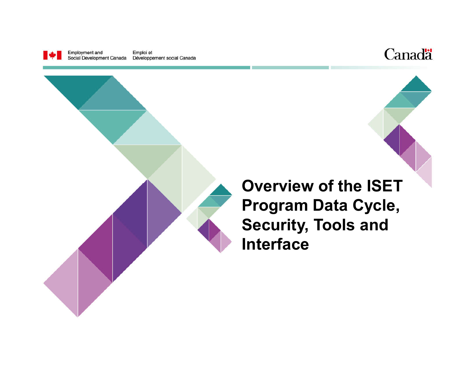

Employment and Emploi et Social Development Canada Développement social Canada





**Overview of the ISET Program Data Cycle, Security, Tools and Interface**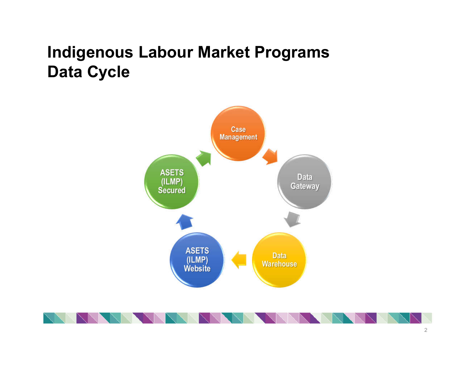# **Indigenous Labour Market Programs Data Cycle**



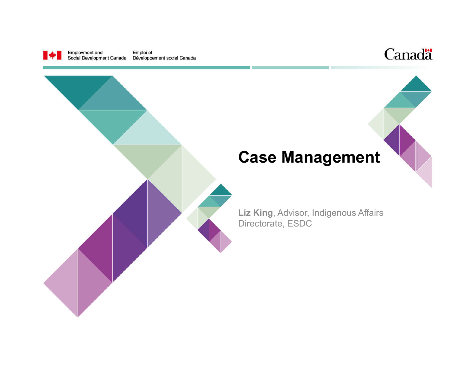

Employment and<br>Social Development Canada Emploi et Développement social Canada



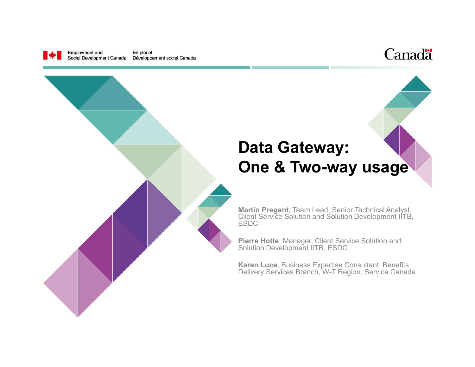

Employment and Emploi et Social Development Canada Développement social Canada



## **Data Gateway: One & Two-way usage**

**Martin Pregent**, Team Lead, Senior Technical Analyst, Client Service Solution and Solution Development IITB, ESDC

**Pierre Hotte**, Manager, Client Service Solution and Solution Development IITB, ESDC

**Karen Luce**, Business Expertise Consultant, Benefits Delivery Services Branch, W-T Region, Service Canada

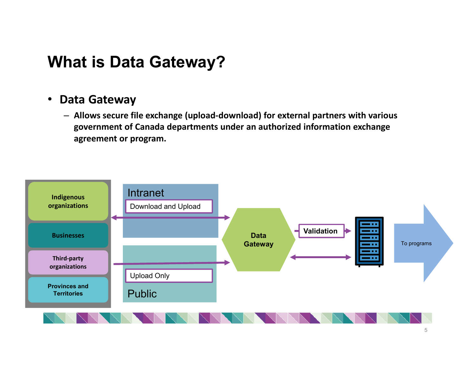### **What is Data Gateway?**

#### • **Data Gateway**

– **Allows secure file exchange (upload-download) for external partners with various government of Canada departments under an authorized information exchange agreement or program.**

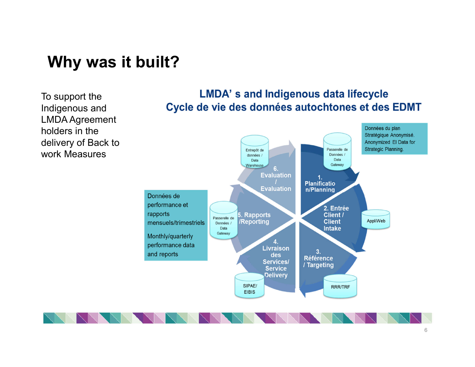#### **Why was it built?**

To support the Indigenous and LMDA Agreement holders in the delivery of Back to work Measures

#### **LMDA's and Indigenous data lifecycle** Cycle de vie des données autochtones et des EDMT

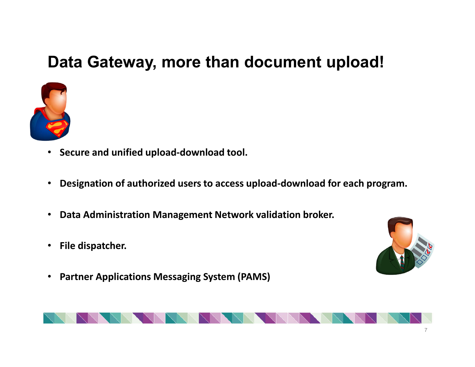# **Data Gateway, more than document upload!**



- **Secure and unified upload-download tool.**
- **Designation of authorized users to access upload-download for each program.**
- **Data Administration Management Network validation broker.**
- **File dispatcher.**
- **Partner Applications Messaging System (PAMS)**



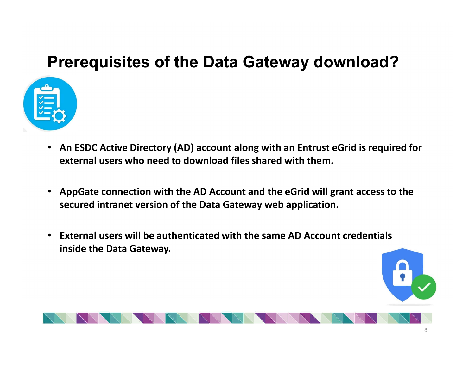# **Prerequisites of the Data Gateway download?**



- **An ESDC Active Directory (AD) account along with an Entrust eGrid is required for external users who need to download files shared with them.**
- **AppGate connection with the AD Account and the eGrid will grant access to the secured intranet version of the Data Gateway web application.**
- **External users will be authenticated with the same AD Account credentials inside the Data Gateway.**

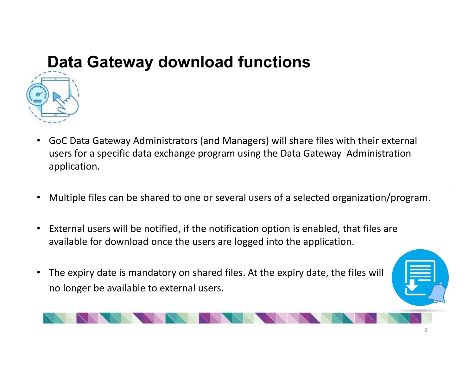# **Data Gateway download functions**



- GoC Data Gateway Administrators (and Managers) will share files with their external users for a specific data exchange program using the Data Gateway Administration application.
- Multiple files can be shared to one or several users of a selected organization/program.
- External users will be notified, if the notification option is enabled, that files are available for download once the users are logged into the application.
- The expiry date is mandatory on shared files. At the expiry date, the files will no longer be available to external users.

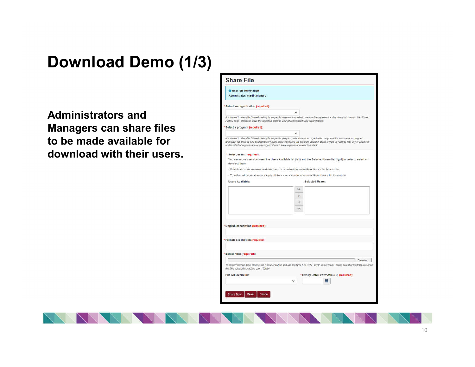# **Download Demo (1/3)**

**Administrators and Managers can share files to be made available for download with their users.**

| <b>B</b> Session Information                                                                       |               |                                                                                                                                                                                                                                                                          |
|----------------------------------------------------------------------------------------------------|---------------|--------------------------------------------------------------------------------------------------------------------------------------------------------------------------------------------------------------------------------------------------------------------------|
| Administrator: martin.menard                                                                       |               |                                                                                                                                                                                                                                                                          |
|                                                                                                    |               |                                                                                                                                                                                                                                                                          |
| * Select an organization (required):                                                               |               |                                                                                                                                                                                                                                                                          |
|                                                                                                    | $\checkmark$  |                                                                                                                                                                                                                                                                          |
| History page, otherwise leave the selection blank to view all records with any organizations.      |               | If you want to wew File Shared History for a specific organization, select one from the organization dropdown list, then go File Shared                                                                                                                                  |
| Select a program (required):                                                                       |               |                                                                                                                                                                                                                                                                          |
|                                                                                                    |               |                                                                                                                                                                                                                                                                          |
| under selected organization or any organizations if leave organization selection blank.            |               | If you want to view File Shared History for a specific program, select one from organization dropdown list and one from program<br>dropdown list, then go File Shared History page, otherwise leave the program selection blank to view all records with any programs of |
| * Select users (required):                                                                         |               |                                                                                                                                                                                                                                                                          |
| deselect them:                                                                                     |               | You can move users between the Users Available list (left) and the Selected Users list (right) in order to select or                                                                                                                                                     |
| - Select one or more users and use the < or > buttons to move them from a list to another          |               |                                                                                                                                                                                                                                                                          |
| - To select all users at once, simply hit the << or >> buttons to move them from a list to another |               |                                                                                                                                                                                                                                                                          |
| <b>Users Available:</b>                                                                            |               | <b>Selected Users:</b>                                                                                                                                                                                                                                                   |
|                                                                                                    | >             |                                                                                                                                                                                                                                                                          |
|                                                                                                    | $\rightarrow$ |                                                                                                                                                                                                                                                                          |
|                                                                                                    |               |                                                                                                                                                                                                                                                                          |
|                                                                                                    | ë             |                                                                                                                                                                                                                                                                          |
|                                                                                                    | éè            |                                                                                                                                                                                                                                                                          |
|                                                                                                    |               |                                                                                                                                                                                                                                                                          |
| * English description (required):                                                                  |               |                                                                                                                                                                                                                                                                          |
| * French description (required):                                                                   |               |                                                                                                                                                                                                                                                                          |
|                                                                                                    |               |                                                                                                                                                                                                                                                                          |
| * Select Files (required):                                                                         |               |                                                                                                                                                                                                                                                                          |
|                                                                                                    |               | Browse.                                                                                                                                                                                                                                                                  |
|                                                                                                    |               | To upload multiple files, click on the "Browse" button and use the SHIFT or CTRL key to select them. Please note that the total size of all                                                                                                                              |
| the files selected cannot be over 100Mb)                                                           |               | * Expiry Date (YYYY-MM-DD) (required):                                                                                                                                                                                                                                   |
| File will expire in:                                                                               |               |                                                                                                                                                                                                                                                                          |
|                                                                                                    |               |                                                                                                                                                                                                                                                                          |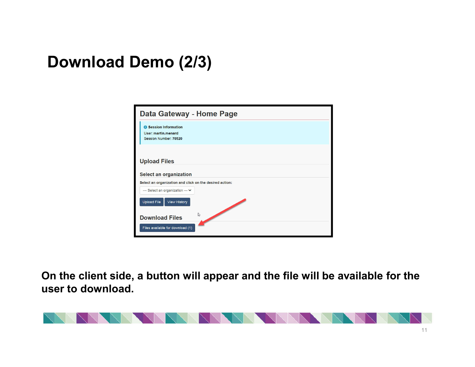# **Download Demo (2/3)**

| Data Gateway - Home Page                                                     |
|------------------------------------------------------------------------------|
| <b>6</b> Session Information<br>User: martin.menard<br>Session Number: 70520 |
| <b>Upload Files</b>                                                          |
| <b>Select an organization</b>                                                |
| Select an organization and click on the desired action:                      |
| --- Select an organization --- V                                             |
| View History<br><b>Upload File</b>                                           |
| $\mathbb{Z}$<br><b>Download Files</b><br>Files available for download (1)    |

**On the client side, a button will appear and the file will be available for the user to download.**

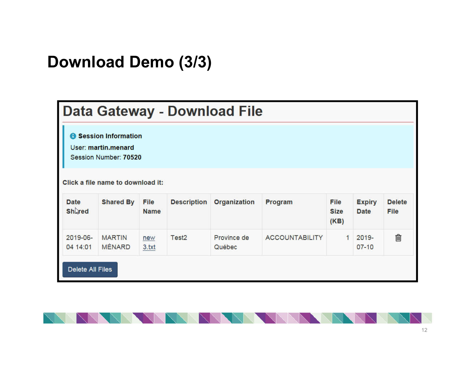## **Download Demo (3/3)**

|                               |                                                                                                          |                     |                    | Data Gateway - Download File |                       |                             |                              |                       |
|-------------------------------|----------------------------------------------------------------------------------------------------------|---------------------|--------------------|------------------------------|-----------------------|-----------------------------|------------------------------|-----------------------|
|                               | Session Information<br>User: martin.menard<br>Session Number: 70520<br>Click a file name to download it: |                     |                    |                              |                       |                             |                              |                       |
| <b>Date</b><br><b>Shlared</b> | <b>Shared By</b>                                                                                         | File<br><b>Name</b> | <b>Description</b> | <b>Organization</b>          | Program               | File<br><b>Size</b><br>(KB) | <b>Expiry</b><br><b>Date</b> | <b>Delete</b><br>File |
| 2019-06-<br>04 14:01          | <b>MARTIN</b><br><b>MÉNARD</b>                                                                           | new<br>3.txt        | Test <sub>2</sub>  | Province de<br>Québec        | <b>ACCOUNTABILITY</b> | 1                           | $2019 -$<br>$07 - 10$        | 侕                     |
| <b>Delete All Files</b>       |                                                                                                          |                     |                    |                              |                       |                             |                              |                       |

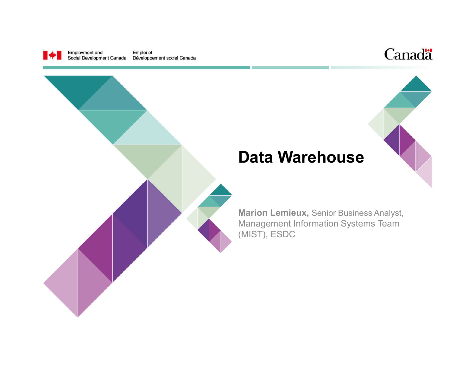

Employment and<br>Social Development Canada Emploi et Développement social Canada





#### **Data Warehouse**

**Marion Lemieux,** Senior Business Analyst, Management Information Systems Team (MIST), ESDC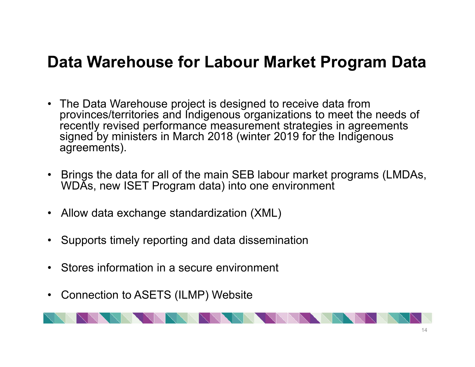### **Data Warehouse for Labour Market Program Data**

- The Data Warehouse project is designed to receive data from provinces/territories and Indigenous organizations to meet the needs of recently revised performance measurement strategies in agreements signed by ministers in March 2018 (winter 2019 for the Indigenous agreements).
- Brings the data for all of the main SEB labour market programs (LMDAs, WDAs, new ISET Program data) into one environment
- Allow data exchange standardization (XML)
- Supports timely reporting and data dissemination
- Stores information in a secure environment
- Connection to ASETS (ILMP) Website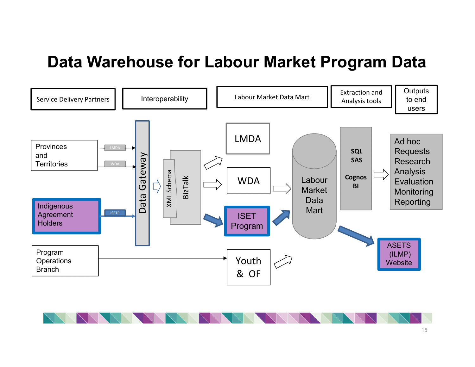#### **Data Warehouse for Labour Market Program Data**



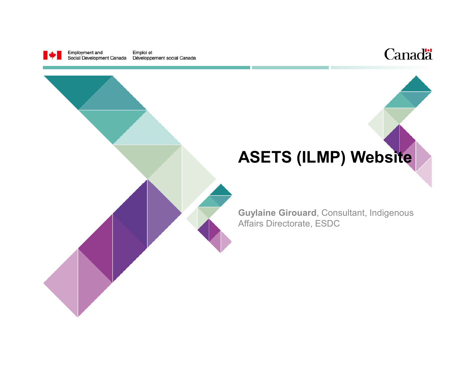

Employment and<br>Social Development Canada Emploi et Développement social Canada



# **ASETS (ILMP) Website**

**Guylaine Girouard**, Consultant, Indigenous Affairs Directorate, ESDC

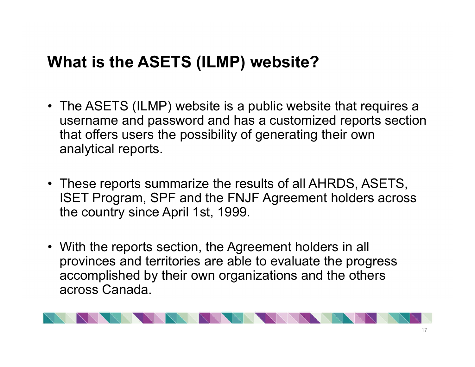# **What is the ASETS (ILMP) website?**

- The ASETS (ILMP) website is a public website that requires a username and password and has a customized reports section that offers users the possibility of generating their own analytical reports.
- These reports summarize the results of all AHRDS, ASETS, ISET Program, SPF and the FNJF Agreement holders across the country since April 1st, 1999.
- With the reports section, the Agreement holders in all provinces and territories are able to evaluate the progress accomplished by their own organizations and the others across Canada.

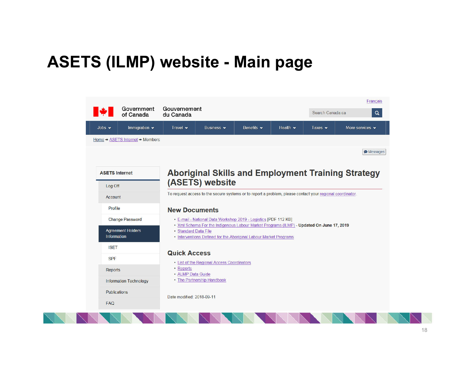# **ASETS (ILMP) website - Main page**

|                       | Government<br>of Canada           | Gouvernement<br>du Canada                                                                                                                                                             |                                                                                                           |                                |                | Search Canada.ca            | Français<br>$\mathbf Q$                                   |
|-----------------------|-----------------------------------|---------------------------------------------------------------------------------------------------------------------------------------------------------------------------------------|-----------------------------------------------------------------------------------------------------------|--------------------------------|----------------|-----------------------------|-----------------------------------------------------------|
| Jobs $\rightarrow$    | Immigration $\blacktriangleright$ | Travel $\star$                                                                                                                                                                        | Business v                                                                                                | Benefits $\blacktriangleright$ | Health $\star$ | Taxes $\blacktriangleright$ | More services v                                           |
|                       | Home → ASETS Internet → Members   |                                                                                                                                                                                       |                                                                                                           |                                |                |                             |                                                           |
|                       |                                   |                                                                                                                                                                                       |                                                                                                           |                                |                |                             | <b>Messages</b>                                           |
| <b>ASETS Internet</b> |                                   |                                                                                                                                                                                       |                                                                                                           |                                |                |                             | <b>Aboriginal Skills and Employment Training Strategy</b> |
| Log Off               |                                   |                                                                                                                                                                                       | (ASETS) website                                                                                           |                                |                |                             |                                                           |
| Account               |                                   |                                                                                                                                                                                       | To request access to the secure systems or to report a problem, please contact your regional coordinator. |                                |                |                             |                                                           |
| Profile               |                                   | <b>New Documents</b>                                                                                                                                                                  |                                                                                                           |                                |                |                             |                                                           |
|                       | <b>Change Password</b>            | • E-mail - National Data Workshop 2019 - Logistics [PDF 112 KB]                                                                                                                       |                                                                                                           |                                |                |                             |                                                           |
| Information           | <b>Agreement Holders</b>          | . Xml Schema For the Indigenous Labour Market Programs (ILMP) - Updated On June 17, 2019<br>· Standard Data File<br>• Interventions Defined for the Aboriginal Labour Market Programs |                                                                                                           |                                |                |                             |                                                           |
| <b>ISET</b>           |                                   |                                                                                                                                                                                       |                                                                                                           |                                |                |                             |                                                           |
| <b>SPF</b>            |                                   | <b>Quick Access</b>                                                                                                                                                                   | • List of the Regional Access Coordinators                                                                |                                |                |                             |                                                           |
| <b>Reports</b>        |                                   | • Reports<br>• ALMP Data Guide                                                                                                                                                        |                                                                                                           |                                |                |                             |                                                           |
|                       | <b>Information Technology</b>     | • The Partnership Handbook                                                                                                                                                            |                                                                                                           |                                |                |                             |                                                           |
| Publications          |                                   | Date modified: 2018-09-11                                                                                                                                                             |                                                                                                           |                                |                |                             |                                                           |
| <b>FAQ</b>            |                                   |                                                                                                                                                                                       |                                                                                                           |                                |                |                             |                                                           |
|                       |                                   |                                                                                                                                                                                       |                                                                                                           |                                |                |                             |                                                           |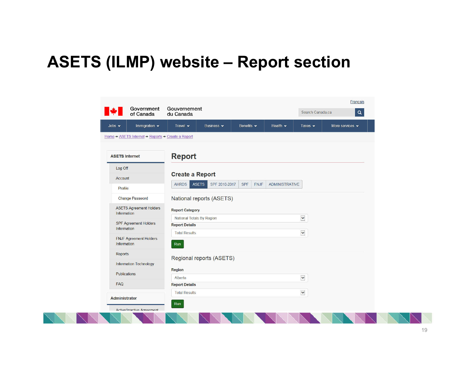#### **ASETS (ILMP) website – Report section**

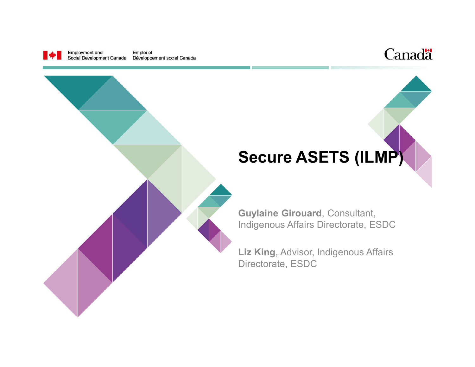

Employment and Emploi et Social Development Canada Développement social Canada



# **Secure ASETS (ILMP)**

**Guylaine Girouard**, Consultant, Indigenous Affairs Directorate, ESDC

**Liz King**, Advisor, Indigenous Affairs Directorate, ESDC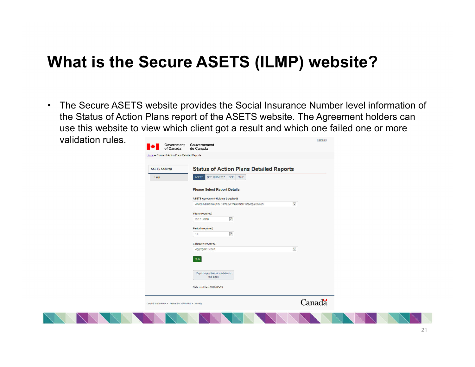## **What is the Secure ASETS (ILMP) website?**

• The Secure ASETS website provides the Social Insurance Number level information of the Status of Action Plans report of the ASETS website. The Agreement holders can use this website to view which client got a result and which one failed one or more validation rules.

|                      | Government<br>Gouvernement<br>of Canada<br>du Canada     |              |  |
|----------------------|----------------------------------------------------------|--------------|--|
|                      | Home + Status of Action Plans Detailed Reports           |              |  |
| <b>ASETS Secured</b> | <b>Status of Action Plans Detailed Reports</b>           |              |  |
| Help                 | SPF 2010-2017 SPF<br>ASETS<br>FNJF                       |              |  |
|                      | <b>Please Select Report Details</b>                      |              |  |
|                      | <b>ASETS Agreement Holders (required)</b>                |              |  |
|                      | Aboriginal Community Careers Employment Services Society | $\checkmark$ |  |
|                      | Years (required)                                         |              |  |
|                      | $\checkmark$<br>$2017 - 2018$                            |              |  |
|                      | Period (required)                                        |              |  |
|                      | $\blacktriangledown$<br>12                               |              |  |
|                      | <b>Category (required)</b>                               |              |  |
|                      | Aggregate Report                                         | $\checkmark$ |  |
|                      | Run                                                      |              |  |
|                      | Report a problem or mistake on<br>this page              |              |  |
|                      | Date modified: 2017-06-29                                |              |  |
|                      | Contact information . Terms and conditions . Privacy     | Canadä       |  |
|                      |                                                          |              |  |